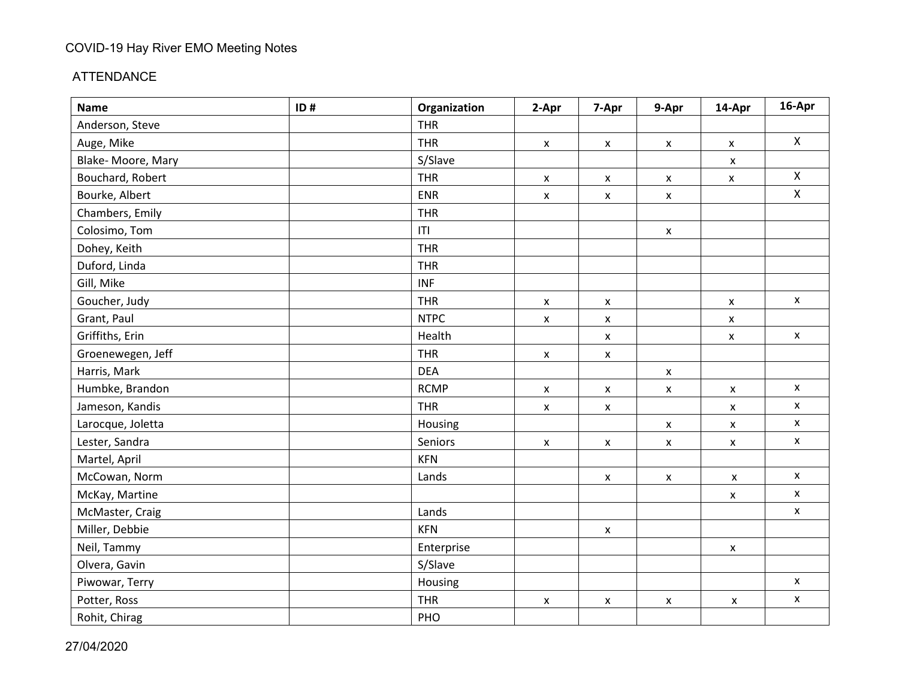#### ATTENDANCE

| <b>Name</b>       | ID# | Organization | 2-Apr              | 7-Apr                     | 9-Apr                     | 14-Apr             | 16-Apr             |
|-------------------|-----|--------------|--------------------|---------------------------|---------------------------|--------------------|--------------------|
| Anderson, Steve   |     | <b>THR</b>   |                    |                           |                           |                    |                    |
| Auge, Mike        |     | <b>THR</b>   | $\pmb{\mathsf{X}}$ | $\pmb{\mathsf{X}}$        | $\pmb{\mathsf{X}}$        | $\pmb{\mathsf{X}}$ | $\pmb{\times}$     |
| Blake-Moore, Mary |     | S/Slave      |                    |                           |                           | $\pmb{\mathsf{X}}$ |                    |
| Bouchard, Robert  |     | <b>THR</b>   | $\pmb{\mathsf{X}}$ | $\pmb{\mathsf{X}}$        | $\pmb{\mathsf{X}}$        | $\pmb{\mathsf{X}}$ | $\mathsf{X}$       |
| Bourke, Albert    |     | <b>ENR</b>   | X                  | $\pmb{\mathsf{X}}$        | $\boldsymbol{\mathsf{x}}$ |                    | $\mathsf{X}$       |
| Chambers, Emily   |     | <b>THR</b>   |                    |                           |                           |                    |                    |
| Colosimo, Tom     |     | T            |                    |                           | $\boldsymbol{\mathsf{x}}$ |                    |                    |
| Dohey, Keith      |     | <b>THR</b>   |                    |                           |                           |                    |                    |
| Duford, Linda     |     | <b>THR</b>   |                    |                           |                           |                    |                    |
| Gill, Mike        |     | <b>INF</b>   |                    |                           |                           |                    |                    |
| Goucher, Judy     |     | <b>THR</b>   | X                  | $\pmb{\mathsf{X}}$        |                           | $\pmb{\mathsf{X}}$ | $\pmb{\mathsf{X}}$ |
| Grant, Paul       |     | <b>NTPC</b>  | $\pmb{\mathsf{X}}$ | $\pmb{\mathsf{X}}$        |                           | $\pmb{\mathsf{X}}$ |                    |
| Griffiths, Erin   |     | Health       |                    | X                         |                           | $\mathsf{x}$       | $\pmb{\mathsf{X}}$ |
| Groenewegen, Jeff |     | <b>THR</b>   | X                  | $\pmb{\mathsf{X}}$        |                           |                    |                    |
| Harris, Mark      |     | <b>DEA</b>   |                    |                           | $\pmb{\mathsf{x}}$        |                    |                    |
| Humbke, Brandon   |     | <b>RCMP</b>  | $\pmb{\mathsf{X}}$ | $\boldsymbol{\mathsf{x}}$ | $\pmb{\mathsf{X}}$        | $\pmb{\mathsf{X}}$ | X                  |
| Jameson, Kandis   |     | <b>THR</b>   | $\mathsf{x}$       | $\boldsymbol{\mathsf{x}}$ |                           | $\mathsf{x}$       | $\pmb{\mathsf{x}}$ |
| Larocque, Joletta |     | Housing      |                    |                           | $\pmb{\mathsf{X}}$        | X                  | $\pmb{\mathsf{x}}$ |
| Lester, Sandra    |     | Seniors      | X                  | $\mathsf{x}$              | $\pmb{\mathsf{X}}$        | X                  | $\pmb{\mathsf{x}}$ |
| Martel, April     |     | <b>KFN</b>   |                    |                           |                           |                    |                    |
| McCowan, Norm     |     | Lands        |                    | $\boldsymbol{\mathsf{x}}$ | $\pmb{\mathsf{X}}$        | $\pmb{\mathsf{X}}$ | $\pmb{\mathsf{X}}$ |
| McKay, Martine    |     |              |                    |                           |                           | $\pmb{\mathsf{X}}$ | $\pmb{\times}$     |
| McMaster, Craig   |     | Lands        |                    |                           |                           |                    | $\pmb{\mathsf{x}}$ |
| Miller, Debbie    |     | <b>KFN</b>   |                    | $\boldsymbol{\mathsf{x}}$ |                           |                    |                    |
| Neil, Tammy       |     | Enterprise   |                    |                           |                           | $\pmb{\mathsf{X}}$ |                    |
| Olvera, Gavin     |     | S/Slave      |                    |                           |                           |                    |                    |
| Piwowar, Terry    |     | Housing      |                    |                           |                           |                    | $\pmb{\mathsf{x}}$ |
| Potter, Ross      |     | <b>THR</b>   | X                  | $\pmb{\mathsf{X}}$        | $\pmb{\mathsf{X}}$        | $\pmb{\mathsf{X}}$ | $\pmb{\mathsf{X}}$ |
| Rohit, Chirag     |     | PHO          |                    |                           |                           |                    |                    |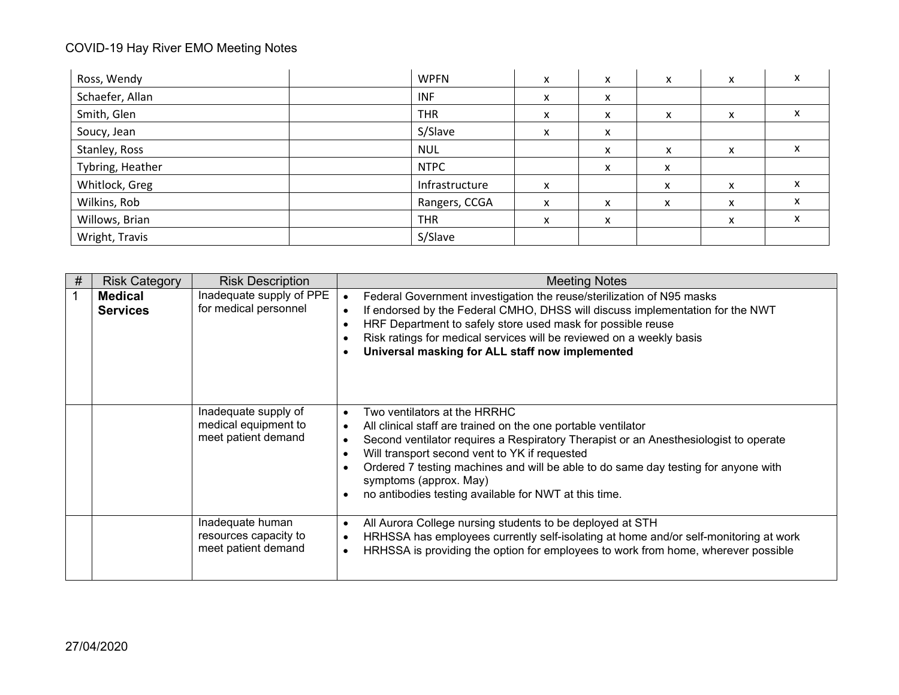| Ross, Wendy      | <b>WPFN</b>    | x         | x | x | x                         | x |
|------------------|----------------|-----------|---|---|---------------------------|---|
| Schaefer, Allan  | <b>INF</b>     | $\lambda$ | x |   |                           |   |
| Smith, Glen      | <b>THR</b>     | $\lambda$ | X | x | ^                         | x |
| Soucy, Jean      | S/Slave        | x         | X |   |                           |   |
| Stanley, Ross    | <b>NUL</b>     |           | x | x | $\checkmark$<br>$\lambda$ | х |
| Tybring, Heather | <b>NTPC</b>    |           | X | x |                           |   |
| Whitlock, Greg   | Infrastructure | x         |   | x | x                         | x |
| Wilkins, Rob     | Rangers, CCGA  | $\lambda$ | x | X | $\checkmark$<br>$\sim$    | x |
| Willows, Brian   | <b>THR</b>     | x         | X |   | X                         | x |
| Wright, Travis   | S/Slave        |           |   |   |                           |   |

| # | <b>Risk Category</b>              | <b>Risk Description</b>                                             | <b>Meeting Notes</b>                                                                                                                                                                                                                                                                                                                                                                                                         |
|---|-----------------------------------|---------------------------------------------------------------------|------------------------------------------------------------------------------------------------------------------------------------------------------------------------------------------------------------------------------------------------------------------------------------------------------------------------------------------------------------------------------------------------------------------------------|
|   | <b>Medical</b><br><b>Services</b> | Inadequate supply of PPE<br>for medical personnel                   | Federal Government investigation the reuse/sterilization of N95 masks<br>$\bullet$<br>If endorsed by the Federal CMHO, DHSS will discuss implementation for the NWT<br>HRF Department to safely store used mask for possible reuse<br>Risk ratings for medical services will be reviewed on a weekly basis<br>Universal masking for ALL staff now implemented                                                                |
|   |                                   | Inadequate supply of<br>medical equipment to<br>meet patient demand | Two ventilators at the HRRHC<br>$\bullet$<br>All clinical staff are trained on the one portable ventilator<br>Second ventilator requires a Respiratory Therapist or an Anesthesiologist to operate<br>Will transport second vent to YK if requested<br>Ordered 7 testing machines and will be able to do same day testing for anyone with<br>symptoms (approx. May)<br>no antibodies testing available for NWT at this time. |
|   |                                   | Inadequate human<br>resources capacity to<br>meet patient demand    | All Aurora College nursing students to be deployed at STH<br>$\bullet$<br>HRHSSA has employees currently self-isolating at home and/or self-monitoring at work<br>HRHSSA is providing the option for employees to work from home, wherever possible                                                                                                                                                                          |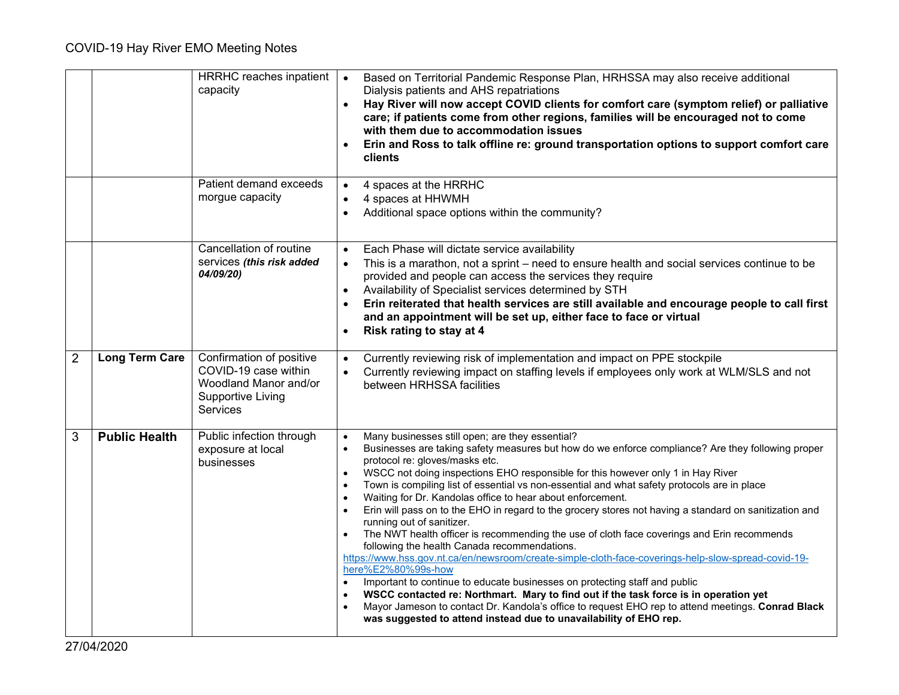|                |                       | HRRHC reaches inpatient<br>capacity                                                                               | Based on Territorial Pandemic Response Plan, HRHSSA may also receive additional<br>Dialysis patients and AHS repatriations<br>Hay River will now accept COVID clients for comfort care (symptom relief) or palliative<br>$\bullet$<br>care; if patients come from other regions, families will be encouraged not to come<br>with them due to accommodation issues<br>Erin and Ross to talk offline re: ground transportation options to support comfort care<br><b>clients</b>                                                                                                                                                                                                                                                                                                                                                                                                                                                                                                                                                                                                                                                                                                                                                                                            |
|----------------|-----------------------|-------------------------------------------------------------------------------------------------------------------|---------------------------------------------------------------------------------------------------------------------------------------------------------------------------------------------------------------------------------------------------------------------------------------------------------------------------------------------------------------------------------------------------------------------------------------------------------------------------------------------------------------------------------------------------------------------------------------------------------------------------------------------------------------------------------------------------------------------------------------------------------------------------------------------------------------------------------------------------------------------------------------------------------------------------------------------------------------------------------------------------------------------------------------------------------------------------------------------------------------------------------------------------------------------------------------------------------------------------------------------------------------------------|
|                |                       | Patient demand exceeds<br>morgue capacity                                                                         | 4 spaces at the HRRHC<br>$\bullet$<br>4 spaces at HHWMH<br>Additional space options within the community?                                                                                                                                                                                                                                                                                                                                                                                                                                                                                                                                                                                                                                                                                                                                                                                                                                                                                                                                                                                                                                                                                                                                                                 |
|                |                       | Cancellation of routine<br>services (this risk added<br>04/09/20)                                                 | Each Phase will dictate service availability<br>$\bullet$<br>This is a marathon, not a sprint – need to ensure health and social services continue to be<br>$\bullet$<br>provided and people can access the services they require<br>Availability of Specialist services determined by STH<br>Erin reiterated that health services are still available and encourage people to call first<br>and an appointment will be set up, either face to face or virtual<br>Risk rating to stay at 4<br>$\bullet$                                                                                                                                                                                                                                                                                                                                                                                                                                                                                                                                                                                                                                                                                                                                                                   |
| $\overline{2}$ | <b>Long Term Care</b> | Confirmation of positive<br>COVID-19 case within<br>Woodland Manor and/or<br><b>Supportive Living</b><br>Services | Currently reviewing risk of implementation and impact on PPE stockpile<br>$\bullet$<br>Currently reviewing impact on staffing levels if employees only work at WLM/SLS and not<br>between HRHSSA facilities                                                                                                                                                                                                                                                                                                                                                                                                                                                                                                                                                                                                                                                                                                                                                                                                                                                                                                                                                                                                                                                               |
| 3              | <b>Public Health</b>  | Public infection through<br>exposure at local<br>businesses                                                       | Many businesses still open; are they essential?<br>$\bullet$<br>Businesses are taking safety measures but how do we enforce compliance? Are they following proper<br>$\bullet$<br>protocol re: gloves/masks etc.<br>WSCC not doing inspections EHO responsible for this however only 1 in Hay River<br>$\bullet$<br>Town is compiling list of essential vs non-essential and what safety protocols are in place<br>Waiting for Dr. Kandolas office to hear about enforcement.<br>$\bullet$<br>Erin will pass on to the EHO in regard to the grocery stores not having a standard on sanitization and<br>running out of sanitizer.<br>The NWT health officer is recommending the use of cloth face coverings and Erin recommends<br>following the health Canada recommendations.<br>https://www.hss.gov.nt.ca/en/newsroom/create-simple-cloth-face-coverings-help-slow-spread-covid-19-<br>here%E2%80%99s-how<br>Important to continue to educate businesses on protecting staff and public<br>WSCC contacted re: Northmart. Mary to find out if the task force is in operation yet<br>$\bullet$<br>Mayor Jameson to contact Dr. Kandola's office to request EHO rep to attend meetings. Conrad Black<br>was suggested to attend instead due to unavailability of EHO rep. |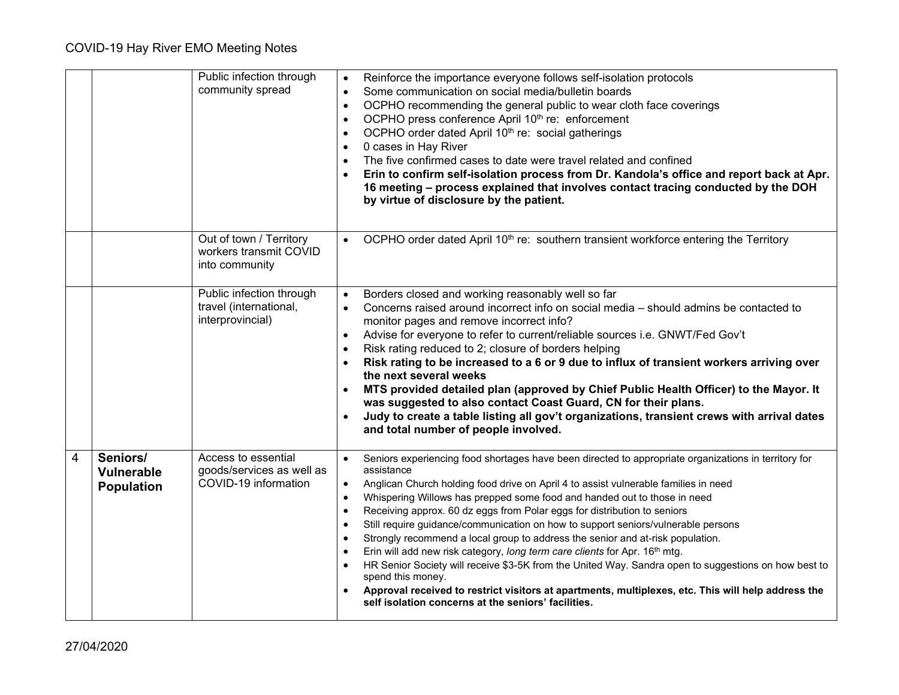|                |                                             | Public infection through<br>community spread                             | Reinforce the importance everyone follows self-isolation protocols<br>$\bullet$<br>Some communication on social media/bulletin boards<br>$\bullet$<br>OCPHO recommending the general public to wear cloth face coverings<br>$\bullet$<br>OCPHO press conference April 10 <sup>th</sup> re: enforcement<br>OCPHO order dated April 10 <sup>th</sup> re: social gatherings<br>$\bullet$<br>0 cases in Hay River<br>$\bullet$<br>The five confirmed cases to date were travel related and confined<br>Erin to confirm self-isolation process from Dr. Kandola's office and report back at Apr.<br>16 meeting - process explained that involves contact tracing conducted by the DOH<br>by virtue of disclosure by the patient.                                                                                                                                                                                                                                                                    |
|----------------|---------------------------------------------|--------------------------------------------------------------------------|------------------------------------------------------------------------------------------------------------------------------------------------------------------------------------------------------------------------------------------------------------------------------------------------------------------------------------------------------------------------------------------------------------------------------------------------------------------------------------------------------------------------------------------------------------------------------------------------------------------------------------------------------------------------------------------------------------------------------------------------------------------------------------------------------------------------------------------------------------------------------------------------------------------------------------------------------------------------------------------------|
|                |                                             | Out of town / Territory<br>workers transmit COVID<br>into community      | OCPHO order dated April 10 <sup>th</sup> re: southern transient workforce entering the Territory<br>$\bullet$                                                                                                                                                                                                                                                                                                                                                                                                                                                                                                                                                                                                                                                                                                                                                                                                                                                                                  |
|                |                                             | Public infection through<br>travel (international,<br>interprovincial)   | Borders closed and working reasonably well so far<br>$\bullet$<br>Concerns raised around incorrect info on social media – should admins be contacted to<br>$\bullet$<br>monitor pages and remove incorrect info?<br>Advise for everyone to refer to current/reliable sources i.e. GNWT/Fed Gov't<br>$\bullet$<br>Risk rating reduced to 2; closure of borders helping<br>$\bullet$<br>Risk rating to be increased to a 6 or 9 due to influx of transient workers arriving over<br>the next several weeks<br>MTS provided detailed plan (approved by Chief Public Health Officer) to the Mayor. It<br>was suggested to also contact Coast Guard, CN for their plans.<br>Judy to create a table listing all gov't organizations, transient crews with arrival dates<br>and total number of people involved.                                                                                                                                                                                      |
| $\overline{4}$ | Seniors/<br>Vulnerable<br><b>Population</b> | Access to essential<br>goods/services as well as<br>COVID-19 information | Seniors experiencing food shortages have been directed to appropriate organizations in territory for<br>$\bullet$<br>assistance<br>Anglican Church holding food drive on April 4 to assist vulnerable families in need<br>$\bullet$<br>Whispering Willows has prepped some food and handed out to those in need<br>$\bullet$<br>Receiving approx. 60 dz eggs from Polar eggs for distribution to seniors<br>$\bullet$<br>Still require guidance/communication on how to support seniors/vulnerable persons<br>$\bullet$<br>Strongly recommend a local group to address the senior and at-risk population.<br>$\bullet$<br>Erin will add new risk category, long term care clients for Apr. 16th mtg.<br>HR Senior Society will receive \$3-5K from the United Way. Sandra open to suggestions on how best to<br>spend this money.<br>Approval received to restrict visitors at apartments, multiplexes, etc. This will help address the<br>self isolation concerns at the seniors' facilities. |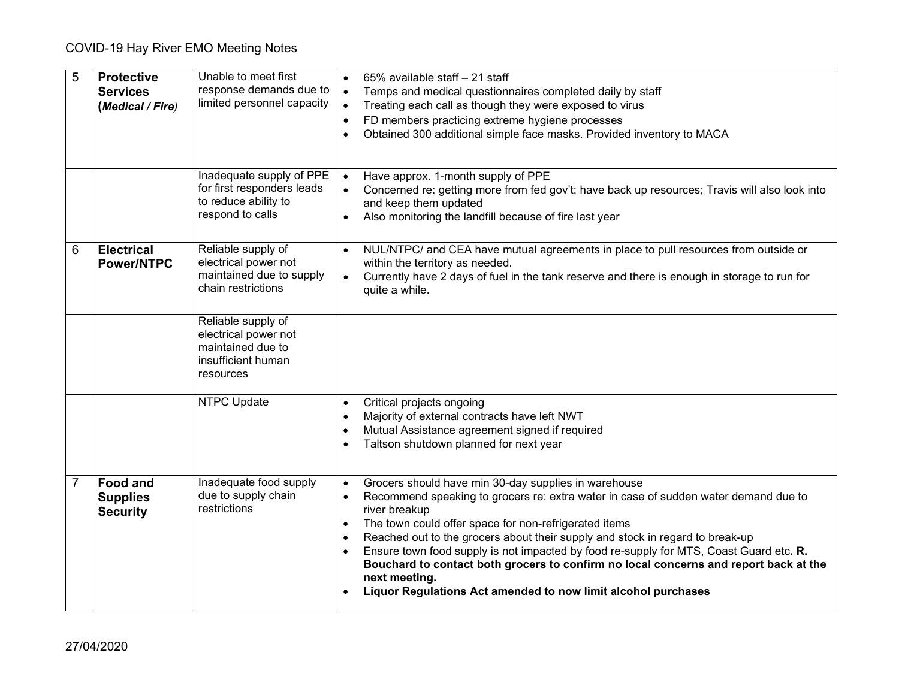| 5 | <b>Protective</b><br><b>Services</b><br>(Medical / Fire) | Unable to meet first<br>response demands due to<br>limited personnel capacity                      | 65% available staff - 21 staff<br>Temps and medical questionnaires completed daily by staff<br>$\bullet$<br>Treating each call as though they were exposed to virus<br>FD members practicing extreme hygiene processes<br>Obtained 300 additional simple face masks. Provided inventory to MACA                                                                                                                                                                                                                                                                                         |
|---|----------------------------------------------------------|----------------------------------------------------------------------------------------------------|-----------------------------------------------------------------------------------------------------------------------------------------------------------------------------------------------------------------------------------------------------------------------------------------------------------------------------------------------------------------------------------------------------------------------------------------------------------------------------------------------------------------------------------------------------------------------------------------|
|   |                                                          | Inadequate supply of PPE<br>for first responders leads<br>to reduce ability to<br>respond to calls | Have approx. 1-month supply of PPE<br>$\bullet$<br>Concerned re: getting more from fed gov't; have back up resources; Travis will also look into<br>and keep them updated<br>Also monitoring the landfill because of fire last year                                                                                                                                                                                                                                                                                                                                                     |
| 6 | <b>Electrical</b><br><b>Power/NTPC</b>                   | Reliable supply of<br>electrical power not<br>maintained due to supply<br>chain restrictions       | NUL/NTPC/ and CEA have mutual agreements in place to pull resources from outside or<br>within the territory as needed.<br>Currently have 2 days of fuel in the tank reserve and there is enough in storage to run for<br>quite a while.                                                                                                                                                                                                                                                                                                                                                 |
|   |                                                          | Reliable supply of<br>electrical power not<br>maintained due to<br>insufficient human<br>resources |                                                                                                                                                                                                                                                                                                                                                                                                                                                                                                                                                                                         |
|   |                                                          | <b>NTPC Update</b>                                                                                 | Critical projects ongoing<br>$\bullet$<br>Majority of external contracts have left NWT<br>Mutual Assistance agreement signed if required<br>Taltson shutdown planned for next year                                                                                                                                                                                                                                                                                                                                                                                                      |
| 7 | <b>Food and</b><br><b>Supplies</b><br><b>Security</b>    | Inadequate food supply<br>due to supply chain<br>restrictions                                      | Grocers should have min 30-day supplies in warehouse<br>Recommend speaking to grocers re: extra water in case of sudden water demand due to<br>$\bullet$<br>river breakup<br>The town could offer space for non-refrigerated items<br>Reached out to the grocers about their supply and stock in regard to break-up<br>Ensure town food supply is not impacted by food re-supply for MTS, Coast Guard etc. R.<br>Bouchard to contact both grocers to confirm no local concerns and report back at the<br>next meeting.<br>Liquor Regulations Act amended to now limit alcohol purchases |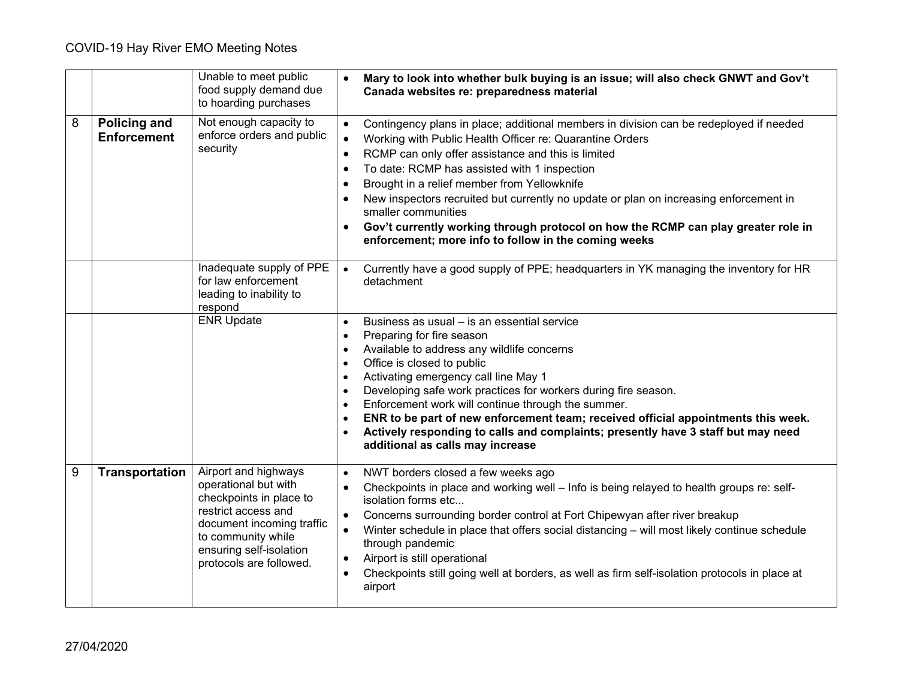|   |                                           | Unable to meet public<br>food supply demand due<br>to hoarding purchases                                                                                                                                | Mary to look into whether bulk buying is an issue; will also check GNWT and Gov't<br>$\bullet$<br>Canada websites re: preparedness material                                                                                                                                                                                                                                                                                                                                                                                                                                                                 |
|---|-------------------------------------------|---------------------------------------------------------------------------------------------------------------------------------------------------------------------------------------------------------|-------------------------------------------------------------------------------------------------------------------------------------------------------------------------------------------------------------------------------------------------------------------------------------------------------------------------------------------------------------------------------------------------------------------------------------------------------------------------------------------------------------------------------------------------------------------------------------------------------------|
| 8 | <b>Policing and</b><br><b>Enforcement</b> | Not enough capacity to<br>enforce orders and public<br>security                                                                                                                                         | Contingency plans in place; additional members in division can be redeployed if needed<br>$\bullet$<br>Working with Public Health Officer re: Quarantine Orders<br>$\bullet$<br>RCMP can only offer assistance and this is limited<br>$\bullet$<br>To date: RCMP has assisted with 1 inspection<br>Brought in a relief member from Yellowknife<br>New inspectors recruited but currently no update or plan on increasing enforcement in<br>smaller communities<br>Gov't currently working through protocol on how the RCMP can play greater role in<br>enforcement; more info to follow in the coming weeks |
|   |                                           | Inadequate supply of PPE<br>for law enforcement<br>leading to inability to<br>respond                                                                                                                   | Currently have a good supply of PPE; headquarters in YK managing the inventory for HR<br>$\bullet$<br>detachment                                                                                                                                                                                                                                                                                                                                                                                                                                                                                            |
|   |                                           | <b>ENR Update</b>                                                                                                                                                                                       | Business as usual - is an essential service<br>Preparing for fire season<br>Available to address any wildlife concerns<br>Office is closed to public<br>Activating emergency call line May 1<br>$\bullet$<br>Developing safe work practices for workers during fire season.<br>$\bullet$<br>Enforcement work will continue through the summer.<br>ENR to be part of new enforcement team; received official appointments this week.<br>Actively responding to calls and complaints; presently have 3 staff but may need<br>additional as calls may increase                                                 |
| 9 | Transportation                            | Airport and highways<br>operational but with<br>checkpoints in place to<br>restrict access and<br>document incoming traffic<br>to community while<br>ensuring self-isolation<br>protocols are followed. | NWT borders closed a few weeks ago<br>$\bullet$<br>Checkpoints in place and working well - Info is being relayed to health groups re: self-<br>isolation forms etc<br>Concerns surrounding border control at Fort Chipewyan after river breakup<br>Winter schedule in place that offers social distancing - will most likely continue schedule<br>through pandemic<br>Airport is still operational<br>Checkpoints still going well at borders, as well as firm self-isolation protocols in place at<br>airport                                                                                              |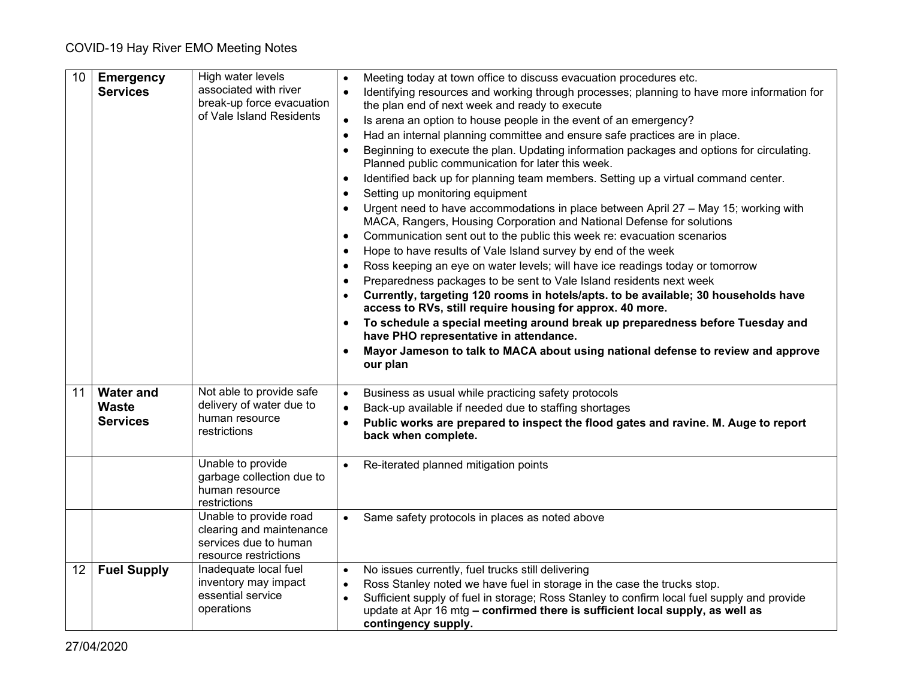| 10 | <b>Emergency</b>   | High water levels                                                                                    | Meeting today at town office to discuss evacuation procedures etc.                                                                                                                                                                                                                                                                                            |
|----|--------------------|------------------------------------------------------------------------------------------------------|---------------------------------------------------------------------------------------------------------------------------------------------------------------------------------------------------------------------------------------------------------------------------------------------------------------------------------------------------------------|
|    | <b>Services</b>    | associated with river<br>break-up force evacuation                                                   | Identifying resources and working through processes; planning to have more information for<br>the plan end of next week and ready to execute                                                                                                                                                                                                                  |
|    |                    | of Vale Island Residents                                                                             | Is arena an option to house people in the event of an emergency?                                                                                                                                                                                                                                                                                              |
|    |                    |                                                                                                      | Had an internal planning committee and ensure safe practices are in place.<br>$\bullet$                                                                                                                                                                                                                                                                       |
|    |                    |                                                                                                      | Beginning to execute the plan. Updating information packages and options for circulating.<br>Planned public communication for later this week.                                                                                                                                                                                                                |
|    |                    |                                                                                                      | Identified back up for planning team members. Setting up a virtual command center.<br>$\bullet$                                                                                                                                                                                                                                                               |
|    |                    |                                                                                                      | Setting up monitoring equipment                                                                                                                                                                                                                                                                                                                               |
|    |                    |                                                                                                      | Urgent need to have accommodations in place between April 27 - May 15; working with<br>MACA, Rangers, Housing Corporation and National Defense for solutions                                                                                                                                                                                                  |
|    |                    |                                                                                                      | Communication sent out to the public this week re: evacuation scenarios<br>$\bullet$                                                                                                                                                                                                                                                                          |
|    |                    |                                                                                                      | Hope to have results of Vale Island survey by end of the week                                                                                                                                                                                                                                                                                                 |
|    |                    |                                                                                                      | Ross keeping an eye on water levels; will have ice readings today or tomorrow                                                                                                                                                                                                                                                                                 |
|    |                    |                                                                                                      | Preparedness packages to be sent to Vale Island residents next week                                                                                                                                                                                                                                                                                           |
|    |                    |                                                                                                      | Currently, targeting 120 rooms in hotels/apts. to be available; 30 households have<br>access to RVs, still require housing for approx. 40 more.                                                                                                                                                                                                               |
|    |                    |                                                                                                      | To schedule a special meeting around break up preparedness before Tuesday and<br>have PHO representative in attendance.                                                                                                                                                                                                                                       |
|    |                    |                                                                                                      | Mayor Jameson to talk to MACA about using national defense to review and approve<br>our plan                                                                                                                                                                                                                                                                  |
| 11 | <b>Water and</b>   | Not able to provide safe                                                                             | Business as usual while practicing safety protocols<br>$\bullet$                                                                                                                                                                                                                                                                                              |
|    | <b>Waste</b>       | delivery of water due to                                                                             | Back-up available if needed due to staffing shortages                                                                                                                                                                                                                                                                                                         |
|    | <b>Services</b>    | human resource<br>restrictions                                                                       | Public works are prepared to inspect the flood gates and ravine. M. Auge to report<br>back when complete.                                                                                                                                                                                                                                                     |
|    |                    | Unable to provide<br>garbage collection due to<br>human resource<br>restrictions                     | Re-iterated planned mitigation points                                                                                                                                                                                                                                                                                                                         |
|    |                    | Unable to provide road<br>clearing and maintenance<br>services due to human<br>resource restrictions | Same safety protocols in places as noted above<br>$\bullet$                                                                                                                                                                                                                                                                                                   |
| 12 | <b>Fuel Supply</b> | Inadequate local fuel<br>inventory may impact<br>essential service<br>operations                     | No issues currently, fuel trucks still delivering<br>$\bullet$<br>Ross Stanley noted we have fuel in storage in the case the trucks stop.<br>$\bullet$<br>Sufficient supply of fuel in storage; Ross Stanley to confirm local fuel supply and provide<br>update at Apr 16 mtg - confirmed there is sufficient local supply, as well as<br>contingency supply. |